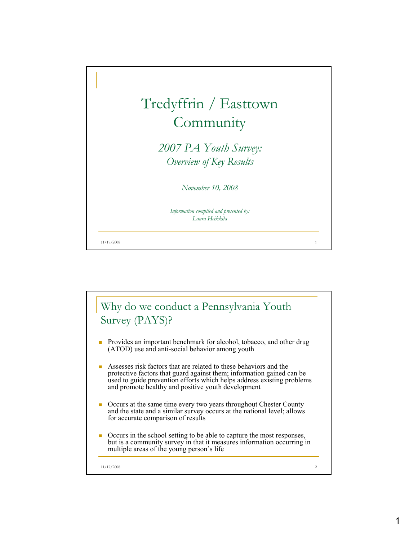

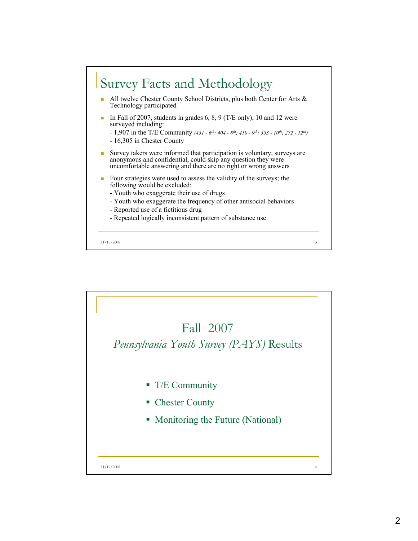

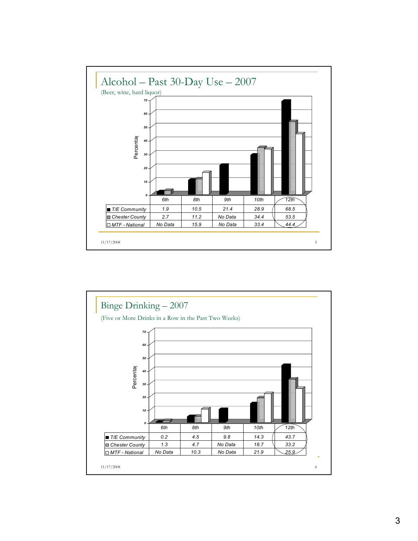

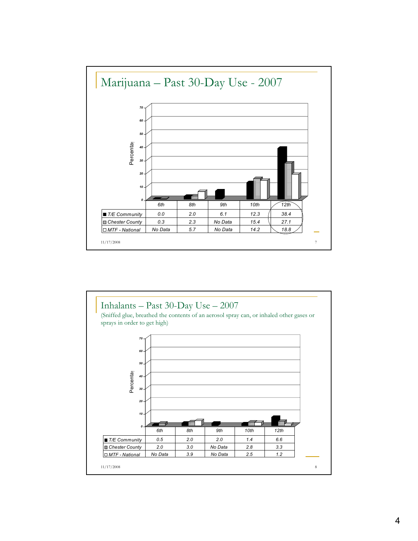

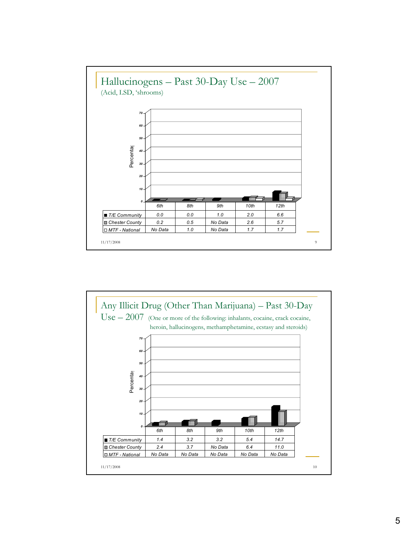

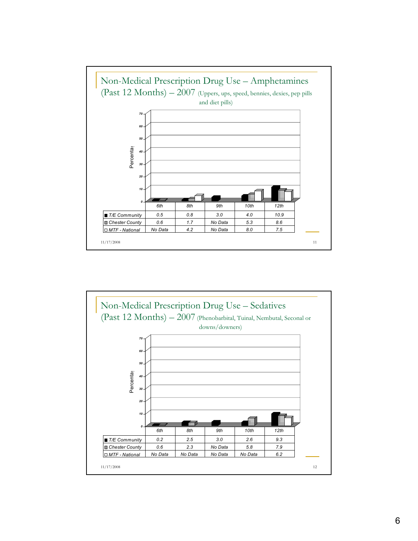

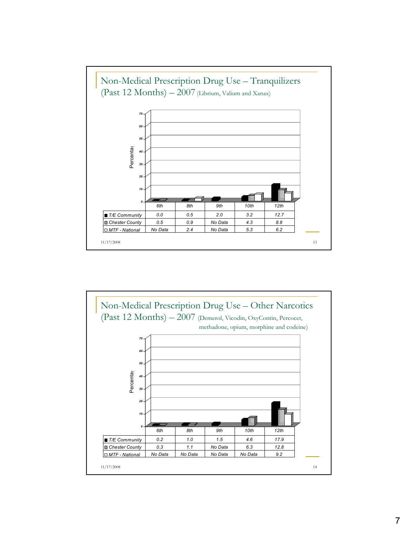

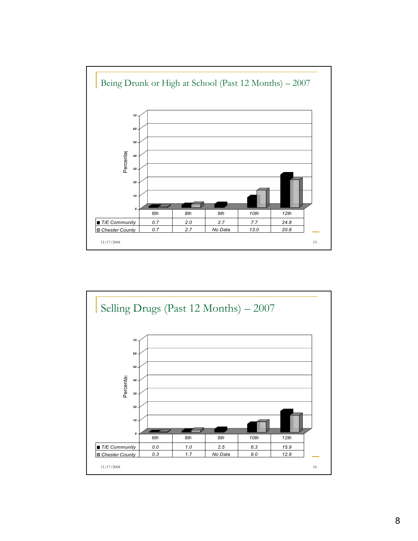

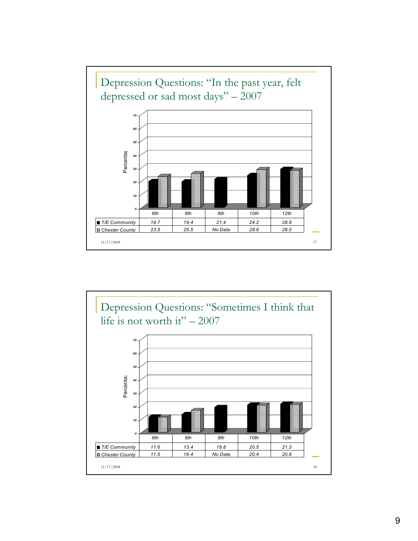

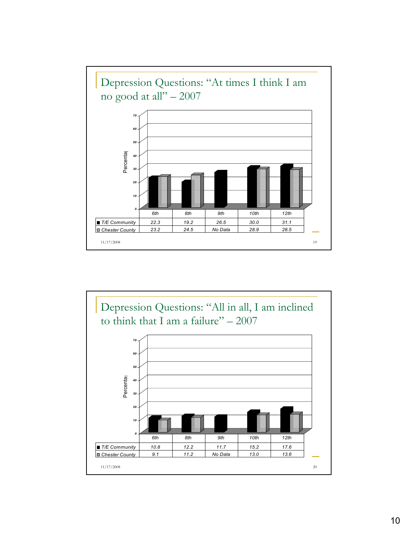

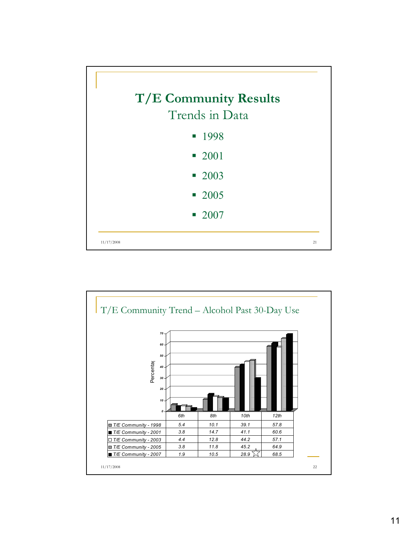

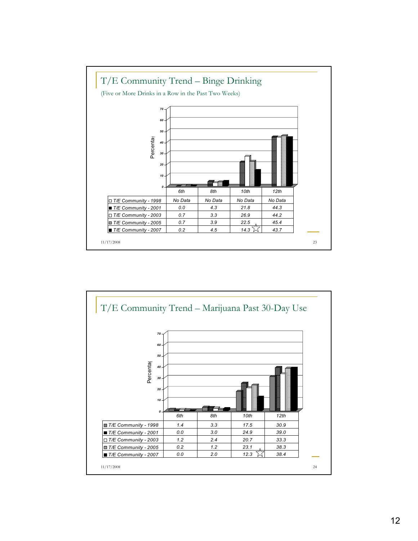

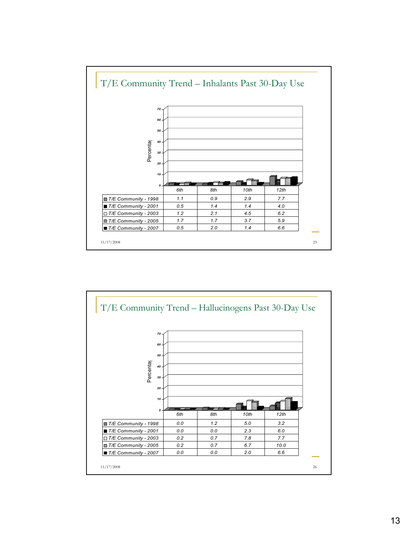

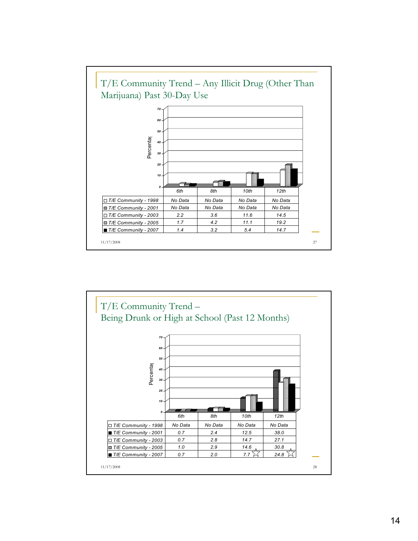

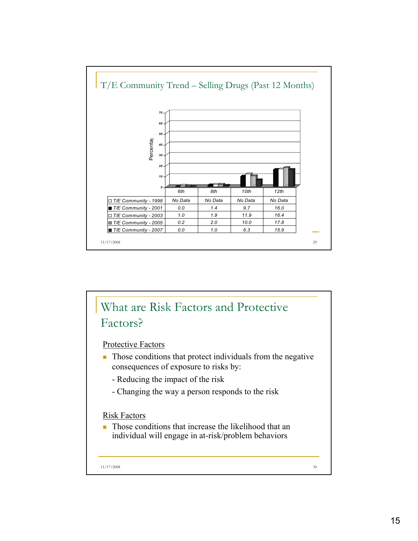

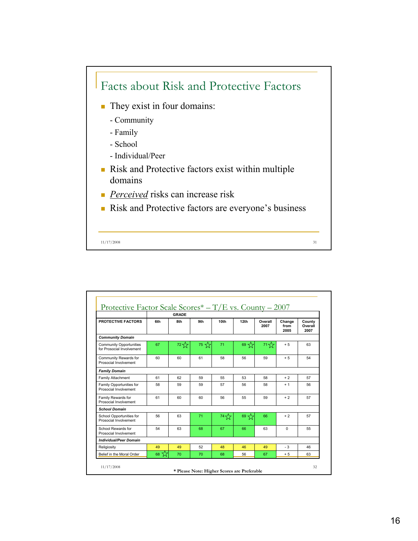

|                                                             | Protective Factor Scale Scores* $-\text{T/E}$ vs. County $-2007$<br><b>GRADE</b> |        |                  |                  |                  |                 |                        |                           |
|-------------------------------------------------------------|----------------------------------------------------------------------------------|--------|------------------|------------------|------------------|-----------------|------------------------|---------------------------|
| <b>PROTECTIVE FACTORS</b>                                   | 6th                                                                              | 8th    | 9th              | 10 <sub>th</sub> | 12th             | Overall<br>2007 | Change<br>from<br>2005 | County<br>Overall<br>2007 |
| <b>Community Domain</b>                                     |                                                                                  |        |                  |                  |                  |                 |                        |                           |
| <b>Community Opportunities</b><br>for Prosocial Involvement | 67                                                                               | ح^ح 72 | $75 \frac{1}{2}$ | 71               | 69 $\frac{1}{2}$ | ح^ح 71          | $+5$                   | 63                        |
| Community Rewards for<br>Prosocial Involvement              | 60                                                                               | 60     | 61               | 58               | 56               | 59              | $+5$                   | 54                        |
| <b>Family Domain</b>                                        |                                                                                  |        |                  |                  |                  |                 |                        |                           |
| Family Attachment                                           | 61                                                                               | 62     | 59               | 55               | 53               | 58              | $+2$                   | 57                        |
| Family Opportunities for<br>Prosocial Involvement           | 58                                                                               | 59     | 59               | 57               | 56               | 58              | $+1$                   | 56                        |
| Family Rewards for<br>Prosocial Involvement                 | 61                                                                               | 60     | 60               | 56               | 55               | 59              | $+2$                   | 57                        |
| <b>School Domain</b>                                        |                                                                                  |        |                  |                  |                  |                 |                        |                           |
| School Opportunities for<br>Prosocial Involvement           | 56                                                                               | 63     | 71               | ح^74             | 69 公             | 66              | $+2$                   | 57                        |
| School Rewards for<br>Prosocial Involvement                 | 54                                                                               | 63     | 68               | 67               | 66               | 63              | $\Omega$               | 55                        |
| <b>Individual/Peer Domain</b>                               |                                                                                  |        |                  |                  |                  |                 |                        |                           |
| Religiosity                                                 | 49                                                                               | 49     | 52               | 48               | 46               | 49              | $-3$                   | 46                        |
| Belief in the Moral Order                                   | 68 22                                                                            | 70     | 70               | 68               | 56               | 67              | $+5$                   | 63                        |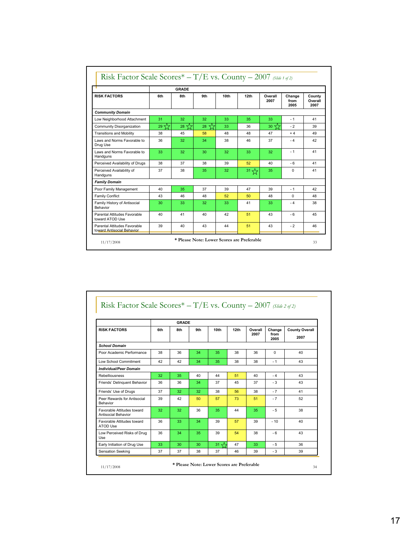|                                                            | <b>GRADE</b>     |         |          |                  |                  |                  |                        |                           |
|------------------------------------------------------------|------------------|---------|----------|------------------|------------------|------------------|------------------------|---------------------------|
| <b>RISK FACTORS</b>                                        | 6th              | 8th     | 9th      | 10 <sub>th</sub> | 12th             | Overall<br>2007  | Change<br>from<br>2005 | County<br>Overall<br>2007 |
| <b>Community Domain</b>                                    |                  |         |          |                  |                  |                  |                        |                           |
| Low Neighborhood Attachment                                | 31               | 32      | 32       | 33               | 35               | 33               | $-1$                   | 41                        |
| Community Disorganization                                  | $29 \frac{1}{2}$ | ☆<br>28 | ≾≿<br>28 | 33               | 36               | 30 $\frac{1}{2}$ | $-2$                   | 39                        |
| <b>Transitions and Mobility</b>                            | 38               | 45      | 58       | 48               | 48               | 47               | $+4$                   | 49                        |
| Laws and Norms Favorable to<br>Drug Use                    | 36               | 32      | 34       | 38               | 46               | 37               | $-4$                   | 42                        |
| Laws and Norms Favorable to<br>Handguns                    | 33               | 32      | 30       | 32               | 33               | 32               | $-1$                   | 41                        |
| Perceived Availability of Drugs                            | 38               | 37      | 38       | 39               | 52               | 40               | $-6$                   | 41                        |
| Perceived Availability of<br>Handguns                      | 37               | 38      | 35       | 32               | 31 $\frac{1}{2}$ | 35               | $\Omega$               | 41                        |
| <b>Family Domain</b>                                       |                  |         |          |                  |                  |                  |                        |                           |
| Poor Family Management                                     | 40               | 35      | 37       | 39               | 47               | 39               | $-1$                   | 42                        |
| <b>Family Conflict</b>                                     | 43               | 46      | 48       | 52               | 50               | 48               | $\Omega$               | 48                        |
| Family History of Antisocial<br>Behavior                   | 30               | 33      | 32       | 33               | 41               | 33               | $-4$                   | 38                        |
| Parental Attitudes Favorable<br>toward ATOD Use            | 40               | 41      | 40       | 42               | 51               | 43               | $-6$                   | 45                        |
| Parental Attitudes Favorable<br>toward Antisocial Behavior | 39               | 40      | 43       | 44               | 51               | 43               | $-2$                   | 46                        |

## Risk Factor Scale Scores\* – T/E vs. County – 2007 *(Slide 2 of 2)*

|                                                   | <b>GRADE</b> |     |     |                  |      |                 |                        |                               |
|---------------------------------------------------|--------------|-----|-----|------------------|------|-----------------|------------------------|-------------------------------|
| <b>RISK FACTORS</b>                               | 6th          | 8th | 9th | 10 <sub>th</sub> | 12th | Overall<br>2007 | Change<br>from<br>2005 | <b>County Overall</b><br>2007 |
| <b>School Domain</b>                              |              |     |     |                  |      |                 |                        |                               |
| Poor Academic Performance                         | 38           | 36  | 34  | 35               | 38   | 36              | $\Omega$               | 40                            |
| Low School Commitment                             | 42           | 42  | 34  | 35               | 38   | 38              | $-1$                   | 43                            |
| <b>Individual/Peer Domain</b>                     |              |     |     |                  |      |                 |                        |                               |
| Rebelliousness                                    | 32           | 35  | 40  | 44               | 51   | 40              | $-4$                   | 43                            |
| Friends' Delinquent Behavior                      | 36           | 36  | 34  | 37               | 45   | 37              | $-3$                   | 43                            |
| Friends' Use of Drugs                             | 37           | 32  | 32  | 38               | 56   | 38              | $-7$                   | 41                            |
| Peer Rewards for Antisocial<br>Behavior           | 39           | 42  | 50  | 57               | 73   | 51              | $-7$                   | 52                            |
| Favorable Attitudes toward<br>Antisocial Behavior | 32           | 32  | 36  | 35               | 44   | 35              | $-5$                   | 38                            |
| Favorable Attitudes toward<br>ATOD Use            | 36           | 33  | 34  | 39               | 57   | 39              | $-10$                  | 40                            |
| Low Perceived Risks of Drug<br><b>Use</b>         | 36           | 34  | 35  | 39               | 54   | 38              | $-6$                   | 43                            |
| Early Initiation of Drug Use                      | 33           | 30  | 30  | 31 $\leq$        | 47   | 33              | $-5$                   | 36                            |
| Sensation Seeking                                 | 37           | 37  | 38  | 37               | 46   | 39              | $-3$                   | 39                            |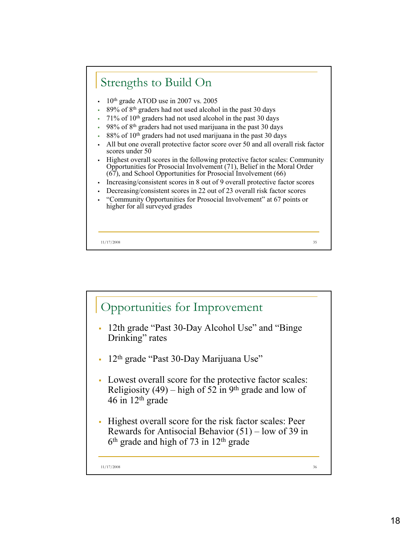